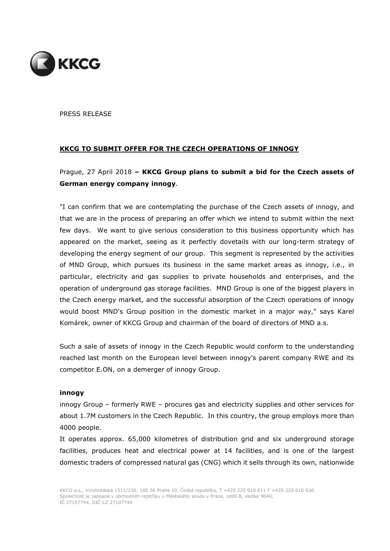

PRESS RELEASE

### KKCG TO SUBMIT OFFER FOR THE CZECH OPERATIONS OF INNOGY

# Prague, 27 April 2018 - KKCG Group plans to submit a bid for the Czech assets of German energy company innogy.

"I can confirm that we are contemplating the purchase of the Czech assets of innogy, and that we are in the process of preparing an offer which we intend to submit within the next few days. We want to give serious consideration to this business opportunity which has appeared on the market, seeing as it perfectly dovetails with our long-term strategy of developing the energy segment of our group. This segment is represented by the activities of MND Group, which pursues its business in the same market areas as innogy, i.e., in particular, electricity and gas supplies to private households and enterprises, and the operation of underground gas storage facilities. MND Group is one of the biggest players in the Czech energy market, and the successful absorption of the Czech operations of innogy would boost MND's Group position in the domestic market in a major way," says Karel Komárek, owner of KKCG Group and chairman of the board of directors of MND a.s.

Such a sale of assets of innogy in the Czech Republic would conform to the understanding reached last month on the European level between innogy's parent company RWE and its competitor E.ON, on a demerger of innogy Group.

#### innogy

innogy Group – formerly RWE – procures gas and electricity supplies and other services for about 1.7M customers in the Czech Republic. In this country, the group employs more than 4000 people.

It operates approx. 65,000 kilometres of distribution grid and six underground storage facilities, produces heat and electrical power at 14 facilities, and is one of the largest domestic traders of compressed natural gas (CNG) which it sells through its own, nationwide